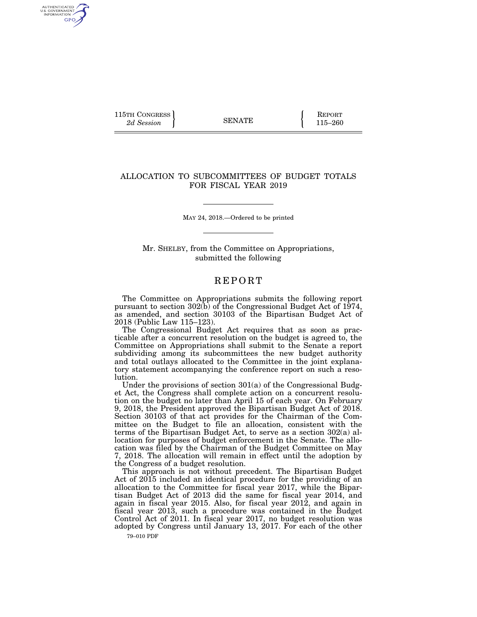115TH CONGRESS **REPORT** 2d Session **115–260** 

AUTHENTICATED<br>U.S. GOVERNMENT<br>INFORMATION GPO

## ALLOCATION TO SUBCOMMITTEES OF BUDGET TOTALS FOR FISCAL YEAR 2019

MAY 24, 2018.—Ordered to be printed

Mr. SHELBY, from the Committee on Appropriations, submitted the following

## **REPORT**

The Committee on Appropriations submits the following report pursuant to section 302(b) of the Congressional Budget Act of 1974, as amended, and section 30103 of the Bipartisan Budget Act of 2018 (Public Law 115–123).

The Congressional Budget Act requires that as soon as practicable after a concurrent resolution on the budget is agreed to, the Committee on Appropriations shall submit to the Senate a report subdividing among its subcommittees the new budget authority and total outlays allocated to the Committee in the joint explanatory statement accompanying the conference report on such a resolution.

Under the provisions of section 301(a) of the Congressional Budget Act, the Congress shall complete action on a concurrent resolution on the budget no later than April 15 of each year. On February 9, 2018, the President approved the Bipartisan Budget Act of 2018. Section 30103 of that act provides for the Chairman of the Committee on the Budget to file an allocation, consistent with the terms of the Bipartisan Budget Act, to serve as a section 302(a) allocation for purposes of budget enforcement in the Senate. The allocation was filed by the Chairman of the Budget Committee on May 7, 2018. The allocation will remain in effect until the adoption by the Congress of a budget resolution.

This approach is not without precedent. The Bipartisan Budget Act of 2015 included an identical procedure for the providing of an allocation to the Committee for fiscal year 2017, while the Bipartisan Budget Act of 2013 did the same for fiscal year 2014, and again in fiscal year 2015. Also, for fiscal year 2012, and again in fiscal year 2013, such a procedure was contained in the Budget Control Act of 2011. In fiscal year 2017, no budget resolution was adopted by Congress until January 13, 2017. For each of the other

79–010 PDF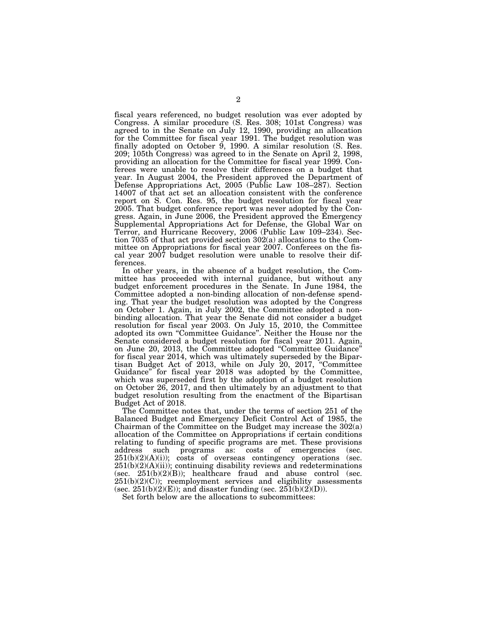fiscal years referenced, no budget resolution was ever adopted by Congress. A similar procedure (S. Res. 308; 101st Congress) was agreed to in the Senate on July 12, 1990, providing an allocation for the Committee for fiscal year 1991. The budget resolution was finally adopted on October 9, 1990. A similar resolution (S. Res. 209; 105th Congress) was agreed to in the Senate on April 2, 1998, providing an allocation for the Committee for fiscal year 1999. Conferees were unable to resolve their differences on a budget that year. In August 2004, the President approved the Department of Defense Appropriations Act, 2005 (Public Law 108–287). Section 14007 of that act set an allocation consistent with the conference report on S. Con. Res. 95, the budget resolution for fiscal year 2005. That budget conference report was never adopted by the Congress. Again, in June 2006, the President approved the Emergency Supplemental Appropriations Act for Defense, the Global War on Terror, and Hurricane Recovery, 2006 (Public Law 109–234). Section 7035 of that act provided section 302(a) allocations to the Committee on Appropriations for fiscal year 2007. Conferees on the fiscal year 2007 budget resolution were unable to resolve their differences.

In other years, in the absence of a budget resolution, the Committee has proceeded with internal guidance, but without any budget enforcement procedures in the Senate. In June 1984, the Committee adopted a non-binding allocation of non-defense spending. That year the budget resolution was adopted by the Congress on October 1. Again, in July 2002, the Committee adopted a nonbinding allocation. That year the Senate did not consider a budget resolution for fiscal year 2003. On July 15, 2010, the Committee adopted its own ''Committee Guidance''. Neither the House nor the Senate considered a budget resolution for fiscal year 2011. Again, on June 20, 2013, the Committee adopted ''Committee Guidance'' for fiscal year 2014, which was ultimately superseded by the Bipartisan Budget Act of 2013, while on July 20, 2017, ''Committee Guidance" for fiscal year 2018 was adopted by the Committee, which was superseded first by the adoption of a budget resolution on October 26, 2017, and then ultimately by an adjustment to that budget resolution resulting from the enactment of the Bipartisan Budget Act of 2018.

The Committee notes that, under the terms of section 251 of the Balanced Budget and Emergency Deficit Control Act of 1985, the Chairman of the Committee on the Budget may increase the 302(a) allocation of the Committee on Appropriations if certain conditions relating to funding of specific programs are met. These provisions address such programs as: costs of emergencies (sec.  $251(b)(2)(A)(i)$ ; costs of overseas contingency operations (sec.  $251(b)(2)(A)(ii)$ ; continuing disability reviews and redeterminations (sec.  $251(b)(2)(B)$ ); healthcare fraud and abuse control (sec.  $251(b)(2)(C)$ ; reemployment services and eligibility assessments (sec.  $251(b)(2)(E)$ ); and disaster funding (sec.  $251(b)(2)(D)$ ).

Set forth below are the allocations to subcommittees: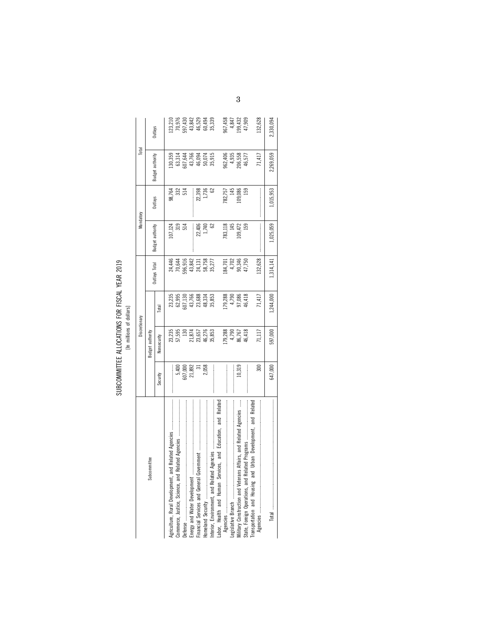| 2010<br>י<br>נ                |   |
|-------------------------------|---|
| I VLVD                        |   |
| ECCL C<br>֦֧֜֜֜֜֜             |   |
|                               |   |
|                               |   |
|                               |   |
|                               |   |
|                               |   |
| i ciecire circi<br>コニュー こうりょく | ś |
|                               |   |
|                               |   |
|                               |   |
|                               |   |
| <b>IDOMMET</b><br>)<br>]<br>] |   |
|                               |   |

|                                                                      |                                                   | Discretionary    |                                                |                                      | Mandatory        |                  | Total                                           |                                                                |
|----------------------------------------------------------------------|---------------------------------------------------|------------------|------------------------------------------------|--------------------------------------|------------------|------------------|-------------------------------------------------|----------------------------------------------------------------|
| Subcommittee                                                         |                                                   | Budget authority |                                                | Outlays Total                        | Budget authority |                  | Budget authority                                | Outlays                                                        |
|                                                                      | Security                                          | Nonsecurity      | Total                                          |                                      |                  | Outlays          |                                                 |                                                                |
| Agriculture, Rural Development, and                                  |                                                   | 23,235           |                                                |                                      | 107,124          | 98,764           | 130,359                                         |                                                                |
|                                                                      |                                                   | 57,595           |                                                |                                      | 319              | $\frac{23}{514}$ |                                                 |                                                                |
|                                                                      | $\frac{5,400}{21,892}$<br>$\frac{20,000}{21,892}$ | 130              | 23,235<br>62,995<br>62,130<br>43,768<br>48,334 | 24,446<br>70,644<br>596,916          | 514              |                  | 63,314<br>507,644<br>46,094<br>50,074<br>50,074 | 10<br>70,974<br>70,942<br>46,529<br>46,529<br>60,494<br>35,339 |
|                                                                      |                                                   | 21,874           |                                                |                                      |                  | :<br>:<br>:      |                                                 |                                                                |
|                                                                      |                                                   | 23,657           |                                                |                                      |                  | 22,398           |                                                 |                                                                |
|                                                                      | 2,058                                             | 46,276<br>35,853 |                                                | 43,842<br>24,131<br>58,758<br>55,277 | 22,406<br>1,740  | 1,736            |                                                 |                                                                |
|                                                                      |                                                   |                  | 35,853                                         |                                      | 2                | 3                |                                                 |                                                                |
| Related<br>and<br>and Education,<br>abor, Health and Human Services, |                                                   |                  |                                                |                                      |                  |                  |                                                 |                                                                |
|                                                                      |                                                   | 179,288          | 79,288                                         |                                      | 783,118          | 782,757          |                                                 |                                                                |
|                                                                      |                                                   |                  |                                                | 184,701<br>4,702<br>90,346<br>47,750 | 145              | 145              | 962,406<br>4,935<br>206,558                     | 967,458<br>4,847<br>199,432                                    |
| lilitary Construction and Veterans Affairs, and Related Agencies     | 10,319                                            | 4,790<br>86,767  | 4,790<br>97,086                                |                                      | 09,472           | 109,086          |                                                 |                                                                |
|                                                                      |                                                   | 46,418           | 46,418                                         |                                      | <b>159</b>       | 159              | 46,577                                          | 47,909                                                         |
| and Related<br>Jrban Development,<br>Transportation and Housing and  | 300                                               | נון<br>נו        | 71,417                                         | 132,628                              |                  |                  | 71,417                                          | 132,628                                                        |
|                                                                      | 647,000                                           | 597,000          | ,244,000                                       | 1,314,141                            | 1,025,059        | ,015,953         | 2,269,059                                       | 2,330,094                                                      |